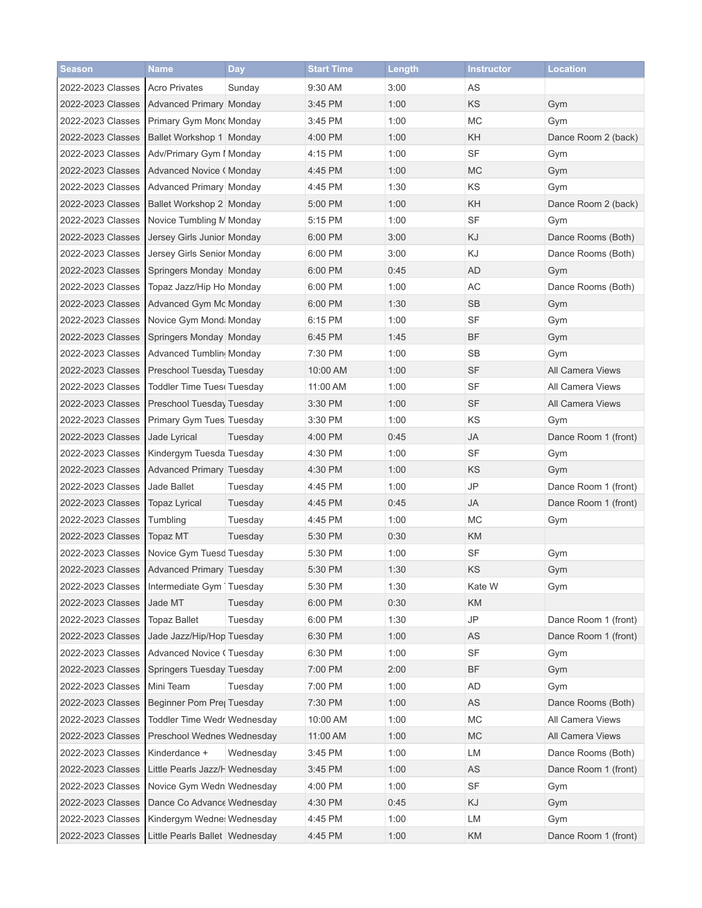| <b>Season</b>     | Name                              | <b>Day</b> | <b>Start Time</b> | Length | <b>Instructor</b> | <b>Location</b>      |
|-------------------|-----------------------------------|------------|-------------------|--------|-------------------|----------------------|
| 2022-2023 Classes | <b>Acro Privates</b>              | Sunday     | 9:30 AM           | 3:00   | AS                |                      |
| 2022-2023 Classes | <b>Advanced Primary Monday</b>    |            | 3:45 PM           | 1:00   | KS                | Gym                  |
| 2022-2023 Classes | Primary Gym Mond Monday           |            | 3:45 PM           | 1:00   | <b>MC</b>         | Gym                  |
| 2022-2023 Classes | Ballet Workshop 1 Monday          |            | 4:00 PM           | 1:00   | KH                | Dance Room 2 (back)  |
| 2022-2023 Classes | Adv/Primary Gym I Monday          |            | 4:15 PM           | 1:00   | <b>SF</b>         | Gym                  |
| 2022-2023 Classes | Advanced Novice (Monday           |            | 4:45 PM           | 1:00   | <b>MC</b>         | Gym                  |
| 2022-2023 Classes | Advanced Primary Monday           |            | 4:45 PM           | 1:30   | KS                | Gym                  |
| 2022-2023 Classes | Ballet Workshop 2 Monday          |            | 5:00 PM           | 1:00   | KH                | Dance Room 2 (back)  |
| 2022-2023 Classes | Novice Tumbling M Monday          |            | 5:15 PM           | 1:00   | <b>SF</b>         | Gym                  |
| 2022-2023 Classes | Jersey Girls Junior Monday        |            | 6:00 PM           | 3:00   | <b>KJ</b>         | Dance Rooms (Both)   |
| 2022-2023 Classes | Jersey Girls Senior Monday        |            | 6:00 PM           | 3:00   | KJ                | Dance Rooms (Both)   |
| 2022-2023 Classes | Springers Monday Monday           |            | 6:00 PM           | 0:45   | AD                | Gym                  |
| 2022-2023 Classes | Topaz Jazz/Hip Ho Monday          |            | 6:00 PM           | 1:00   | <b>AC</b>         | Dance Rooms (Both)   |
| 2022-2023 Classes | Advanced Gym Mc Monday            |            | 6:00 PM           | 1:30   | <b>SB</b>         | Gym                  |
| 2022-2023 Classes | Novice Gym Mond: Monday           |            | 6:15 PM           | 1:00   | SF                | Gym                  |
| 2022-2023 Classes | Springers Monday Monday           |            | 6:45 PM           | 1:45   | <b>BF</b>         | Gym                  |
| 2022-2023 Classes | Advanced Tumblin, Monday          |            | 7:30 PM           | 1:00   | <b>SB</b>         | Gym                  |
| 2022-2023 Classes | Preschool Tuesday Tuesday         |            | 10:00 AM          | 1:00   | <b>SF</b>         | All Camera Views     |
| 2022-2023 Classes | <b>Toddler Time Tuesd Tuesday</b> |            | 11:00 AM          | 1:00   | SF                | All Camera Views     |
| 2022-2023 Classes | Preschool Tuesday Tuesday         |            | 3:30 PM           | 1:00   | <b>SF</b>         | All Camera Views     |
| 2022-2023 Classes | Primary Gym Tues Tuesday          |            | 3:30 PM           | 1:00   | KS                | Gym                  |
| 2022-2023 Classes | Jade Lyrical                      | Tuesday    | 4:00 PM           | 0:45   | <b>JA</b>         | Dance Room 1 (front) |
| 2022-2023 Classes | Kindergym Tuesda Tuesday          |            | 4:30 PM           | 1:00   | <b>SF</b>         | Gym                  |
| 2022-2023 Classes | Advanced Primary Tuesday          |            | 4:30 PM           | 1:00   | KS                | Gym                  |
| 2022-2023 Classes | Jade Ballet                       | Tuesday    | 4:45 PM           | 1:00   | $\mathsf{JP}$     | Dance Room 1 (front) |
| 2022-2023 Classes | <b>Topaz Lyrical</b>              | Tuesday    | 4:45 PM           | 0:45   | JA                | Dance Room 1 (front) |
| 2022-2023 Classes | Tumbling                          | Tuesday    | 4:45 PM           | 1:00   | <b>MC</b>         | Gym                  |
| 2022-2023 Classes | <b>Topaz MT</b>                   | Tuesday    | 5:30 PM           | 0:30   | KM                |                      |
| 2022-2023 Classes | Novice Gym Tuesd Tuesday          |            | 5:30 PM           | 1:00   | <b>SF</b>         | Gym                  |
| 2022-2023 Classes | <b>Advanced Primary Tuesday</b>   |            | 5:30 PM           | 1:30   | KS                | Gym                  |
| 2022-2023 Classes | Intermediate Gym   Tuesday        |            | 5:30 PM           | 1:30   | Kate W            | Gym                  |
| 2022-2023 Classes | Jade MT                           | Tuesday    | 6:00 PM           | 0:30   | KM                |                      |
| 2022-2023 Classes | <b>Topaz Ballet</b>               | Tuesday    | 6:00 PM           | 1:30   | JP                | Dance Room 1 (front) |
| 2022-2023 Classes | Jade Jazz/Hip/Hop Tuesday         |            | 6:30 PM           | 1:00   | AS                | Dance Room 1 (front) |
| 2022-2023 Classes | Advanced Novice (Tuesday          |            | 6:30 PM           | 1:00   | SF                | Gym                  |
| 2022-2023 Classes | Springers Tuesday Tuesday         |            | 7:00 PM           | 2:00   | <b>BF</b>         | Gym                  |
| 2022-2023 Classes | Mini Team                         | Tuesday    | 7:00 PM           | 1:00   | AD                | Gym                  |
| 2022-2023 Classes | Beginner Pom Prej Tuesday         |            | 7:30 PM           | 1:00   | AS                | Dance Rooms (Both)   |
| 2022-2023 Classes | Toddler Time Wedr Wednesday       |            | 10:00 AM          | 1:00   | <b>MC</b>         | All Camera Views     |
| 2022-2023 Classes | Preschool Wednes Wednesday        |            | 11:00 AM          | 1:00   | <b>MC</b>         | All Camera Views     |
| 2022-2023 Classes | Kinderdance +                     | Wednesday  | 3:45 PM           | 1:00   | LM                | Dance Rooms (Both)   |
| 2022-2023 Classes | Little Pearls Jazz/H Wednesday    |            | 3:45 PM           | 1:00   | AS                | Dance Room 1 (front) |
| 2022-2023 Classes | Novice Gym Wedn Wednesday         |            | 4:00 PM           | 1:00   | SF                | Gym                  |
| 2022-2023 Classes | Dance Co Advance Wednesday        |            | 4:30 PM           | 0:45   | KJ                | Gym                  |
| 2022-2023 Classes | Kindergym Wedne: Wednesday        |            | 4:45 PM           | 1:00   | LM                | Gym                  |
| 2022-2023 Classes | Little Pearls Ballet Wednesday    |            | 4:45 PM           | 1:00   | KM                | Dance Room 1 (front) |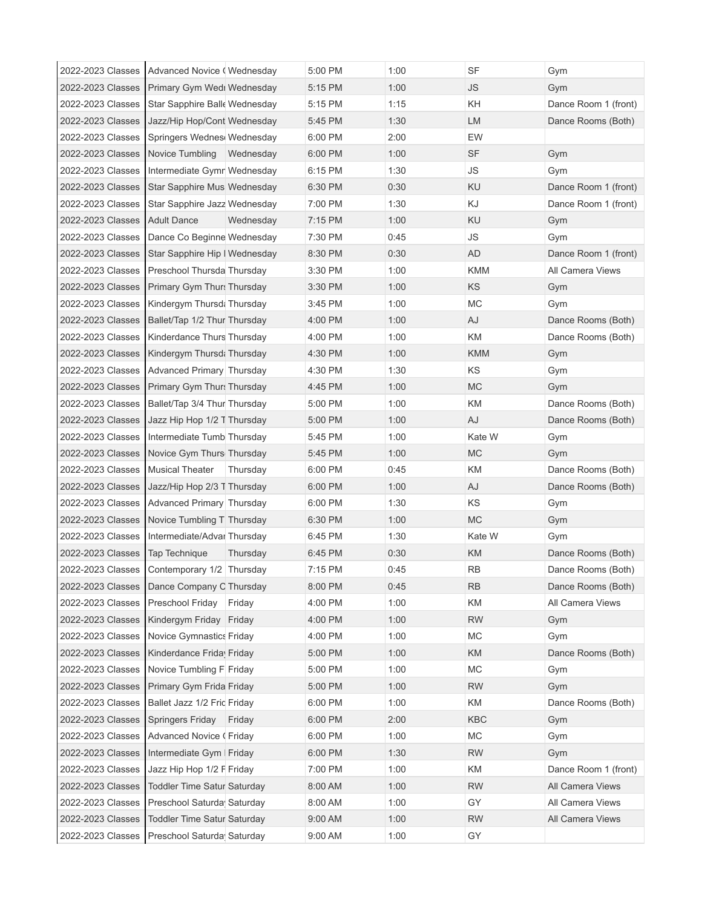| 2022-2023 Classes | Advanced Novice (Wednesday         |           | 5:00 PM | 1:00 | SF                   | Gym                  |
|-------------------|------------------------------------|-----------|---------|------|----------------------|----------------------|
| 2022-2023 Classes | Primary Gym Wedi Wednesday         |           | 5:15 PM | 1:00 | <b>JS</b>            | Gym                  |
| 2022-2023 Classes | Star Sapphire Balle Wednesday      |           | 5:15 PM | 1:15 | KH                   | Dance Room 1 (front) |
| 2022-2023 Classes | Jazz/Hip Hop/Cont Wednesday        |           | 5:45 PM | 1:30 | <b>LM</b>            | Dance Rooms (Both)   |
| 2022-2023 Classes | Springers Wednes Wednesday         |           | 6:00 PM | 2:00 | EW                   |                      |
| 2022-2023 Classes | Novice Tumbling Wednesday          |           | 6:00 PM | 1:00 | <b>SF</b>            | Gym                  |
| 2022-2023 Classes | Intermediate Gymr Wednesday        |           | 6:15 PM | 1:30 | $\mathsf{JS}\xspace$ | Gym                  |
| 2022-2023 Classes | Star Sapphire Mus Wednesday        |           | 6:30 PM | 0:30 | <b>KU</b>            | Dance Room 1 (front) |
| 2022-2023 Classes | Star Sapphire Jazz Wednesday       |           | 7:00 PM | 1:30 | KJ                   | Dance Room 1 (front) |
| 2022-2023 Classes | <b>Adult Dance</b>                 | Wednesday | 7:15 PM | 1:00 | <b>KU</b>            | Gym                  |
| 2022-2023 Classes | Dance Co Beginne Wednesday         |           | 7:30 PM | 0:45 | $\mathsf{JS}\xspace$ | Gym                  |
| 2022-2023 Classes | Star Sapphire Hip I Wednesday      |           | 8:30 PM | 0:30 | <b>AD</b>            | Dance Room 1 (front) |
| 2022-2023 Classes | Preschool Thursda Thursday         |           | 3:30 PM | 1:00 | KMM                  | All Camera Views     |
| 2022-2023 Classes | Primary Gym Thur: Thursday         |           | 3:30 PM | 1:00 | <b>KS</b>            | Gym                  |
| 2022-2023 Classes | Kindergym Thursd: Thursday         |           | 3:45 PM | 1:00 | <b>MC</b>            | Gym                  |
| 2022-2023 Classes | Ballet/Tap 1/2 Thur Thursday       |           | 4:00 PM | 1:00 | AJ                   | Dance Rooms (Both)   |
| 2022-2023 Classes | Kinderdance Thurs Thursday         |           | 4:00 PM | 1:00 | KM                   | Dance Rooms (Both)   |
| 2022-2023 Classes | Kindergym Thursd: Thursday         |           | 4:30 PM | 1:00 | KMM                  | Gym                  |
| 2022-2023 Classes | Advanced Primary Thursday          |           | 4:30 PM | 1:30 | <b>KS</b>            | Gym                  |
| 2022-2023 Classes | Primary Gym Thurs Thursday         |           | 4:45 PM | 1:00 | <b>MC</b>            | Gym                  |
| 2022-2023 Classes | Ballet/Tap 3/4 Thur Thursday       |           | 5:00 PM | 1:00 | KM                   | Dance Rooms (Both)   |
| 2022-2023 Classes | Jazz Hip Hop 1/2 T Thursday        |           | 5:00 PM | 1:00 | AJ                   | Dance Rooms (Both)   |
| 2022-2023 Classes | Intermediate Tumb Thursday         |           | 5:45 PM | 1:00 | Kate W               | Gym                  |
| 2022-2023 Classes | Novice Gym Thurs Thursday          |           | 5:45 PM | 1:00 | <b>MC</b>            | Gym                  |
| 2022-2023 Classes | <b>Musical Theater</b>             | Thursday  | 6:00 PM | 0:45 | KM                   | Dance Rooms (Both)   |
| 2022-2023 Classes | Jazz/Hip Hop 2/3 T Thursday        |           | 6:00 PM | 1:00 | AJ                   | Dance Rooms (Both)   |
| 2022-2023 Classes | Advanced Primary Thursday          |           | 6:00 PM | 1:30 | ΚS                   | Gym                  |
| 2022-2023 Classes | Novice Tumbling T Thursday         |           | 6:30 PM | 1:00 | <b>MC</b>            | Gym                  |
| 2022-2023 Classes | Intermediate/Advar Thursday        |           | 6:45 PM | 1:30 | Kate W               | Gym                  |
| 2022-2023 Classes | Tap Technique                      | Thursday  | 6:45 PM | 0:30 | KM                   | Dance Rooms (Both)   |
| 2022-2023 Classes | Contemporary 1/2 Thursday          |           | 7:15 PM | 0:45 | <b>RB</b>            | Dance Rooms (Both)   |
| 2022-2023 Classes | Dance Company C Thursday           |           | 8:00 PM | 0:45 | <b>RB</b>            | Dance Rooms (Both)   |
| 2022-2023 Classes | Preschool Friday                   | Friday    | 4:00 PM | 1:00 | KM                   | All Camera Views     |
| 2022-2023 Classes | Kindergym Friday Friday            |           | 4:00 PM | 1:00 | <b>RW</b>            | Gym                  |
| 2022-2023 Classes | <b>Novice Gymnastics Friday</b>    |           | 4:00 PM | 1:00 | <b>MC</b>            | Gym                  |
| 2022-2023 Classes | Kinderdance Frida Friday           |           | 5:00 PM | 1:00 | KM                   | Dance Rooms (Both)   |
| 2022-2023 Classes | Novice Tumbling F Friday           |           | 5:00 PM | 1:00 | МC                   | Gym                  |
| 2022-2023 Classes | Primary Gym Frida Friday           |           | 5:00 PM | 1:00 | <b>RW</b>            | Gym                  |
| 2022-2023 Classes | Ballet Jazz 1/2 Frid Friday        |           | 6:00 PM | 1:00 | KM                   | Dance Rooms (Both)   |
| 2022-2023 Classes | Springers Friday                   | Friday    | 6:00 PM | 2:00 | KBC                  | Gym                  |
| 2022-2023 Classes | Advanced Novice (Friday            |           | 6:00 PM | 1:00 | <b>MC</b>            | Gym                  |
| 2022-2023 Classes | Intermediate Gym   Friday          |           | 6:00 PM | 1:30 | <b>RW</b>            | Gym                  |
| 2022-2023 Classes | Jazz Hip Hop 1/2 F Friday          |           | 7:00 PM | 1:00 | KM                   | Dance Room 1 (front) |
| 2022-2023 Classes | Toddler Time Satur Saturday        |           | 8:00 AM | 1:00 | <b>RW</b>            | All Camera Views     |
| 2022-2023 Classes | Preschool Saturda Saturday         |           | 8:00 AM | 1:00 | GY                   | All Camera Views     |
| 2022-2023 Classes | <b>Toddler Time Satur Saturday</b> |           | 9:00 AM | 1:00 | <b>RW</b>            | All Camera Views     |
| 2022-2023 Classes | Preschool Saturda Saturday         |           | 9:00 AM | 1:00 | GY                   |                      |